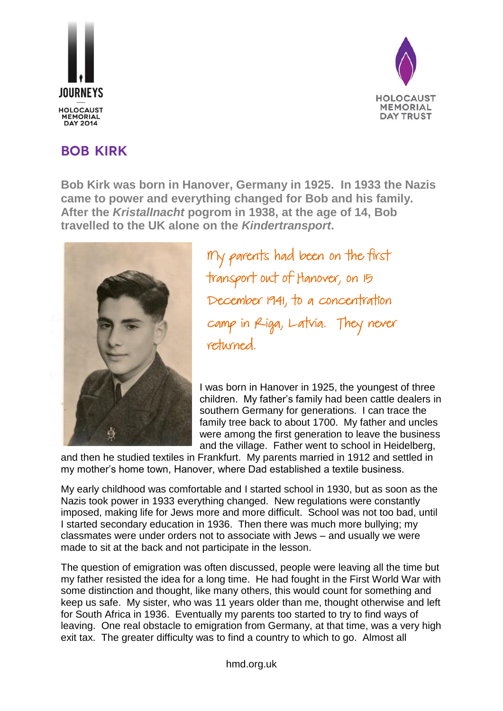



## **Bob Kirk**

**Bob Kirk was born in Hanover, Germany in 1925. In 1933 the Nazis came to power and everything changed for Bob and his family. After the** *KristalInacht* **pogrom in 1938, at the age of 14, Bob travelled to the UK alone on the** *Kindertransport***.**



My parents had been on the first transport out of Hanover, on 15 December 1941, to a concentration camp in Riga, Latvia. They never returned.

I was born in Hanover in 1925, the youngest of three children. My father's family had been cattle dealers in southern Germany for generations. I can trace the family tree back to about 1700. My father and uncles were among the first generation to leave the business and the village. Father went to school in Heidelberg,

and then he studied textiles in Frankfurt. My parents married in 1912 and settled in my mother's home town, Hanover, where Dad established a textile business.

My early childhood was comfortable and I started school in 1930, but as soon as the Nazis took power in 1933 everything changed. New regulations were constantly imposed, making life for Jews more and more difficult. School was not too bad, until I started secondary education in 1936. Then there was much more bullying; my classmates were under orders not to associate with Jews – and usually we were made to sit at the back and not participate in the lesson.

The question of emigration was often discussed, people were leaving all the time but my father resisted the idea for a long time. He had fought in the First World War with some distinction and thought, like many others, this would count for something and keep us safe. My sister, who was 11 years older than me, thought otherwise and left for South Africa in 1936. Eventually my parents too started to try to find ways of leaving. One real obstacle to emigration from Germany, at that time, was a very high exit tax. The greater difficulty was to find a country to which to go. Almost all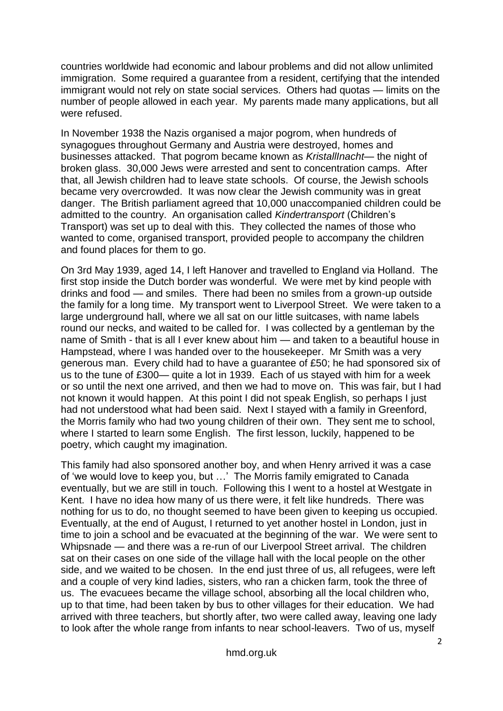countries worldwide had economic and labour problems and did not allow unlimited immigration. Some required a guarantee from a resident, certifying that the intended immigrant would not rely on state social services. Others had quotas — limits on the number of people allowed in each year. My parents made many applications, but all were refused.

In November 1938 the Nazis organised a major pogrom, when hundreds of synagogues throughout Germany and Austria were destroyed, homes and businesses attacked. That pogrom became known as *KristallInacht*— the night of broken glass. 30,000 Jews were arrested and sent to concentration camps. After that, all Jewish children had to leave state schools. Of course, the Jewish schools became very overcrowded. It was now clear the Jewish community was in great danger. The British parliament agreed that 10,000 unaccompanied children could be admitted to the country. An organisation called *Kindertransport* (Children's Transport) was set up to deal with this. They collected the names of those who wanted to come, organised transport, provided people to accompany the children and found places for them to go.

On 3rd May 1939, aged 14, I left Hanover and travelled to England via Holland. The first stop inside the Dutch border was wonderful. We were met by kind people with drinks and food — and smiles. There had been no smiles from a grown-up outside the family for a long time. My transport went to Liverpool Street. We were taken to a large underground hall, where we all sat on our little suitcases, with name labels round our necks, and waited to be called for. I was collected by a gentleman by the name of Smith - that is all I ever knew about him — and taken to a beautiful house in Hampstead, where I was handed over to the housekeeper. Mr Smith was a very generous man. Every child had to have a guarantee of £50; he had sponsored six of us to the tune of £300— quite a lot in 1939. Each of us stayed with him for a week or so until the next one arrived, and then we had to move on. This was fair, but I had not known it would happen. At this point I did not speak English, so perhaps I just had not understood what had been said. Next I stayed with a family in Greenford, the Morris family who had two young children of their own. They sent me to school, where I started to learn some English. The first lesson, luckily, happened to be poetry, which caught my imagination.

This family had also sponsored another boy, and when Henry arrived it was a case of 'we would love to keep you, but …' The Morris family emigrated to Canada eventually, but we are still in touch. Following this I went to a hostel at Westgate in Kent. I have no idea how many of us there were, it felt like hundreds. There was nothing for us to do, no thought seemed to have been given to keeping us occupied. Eventually, at the end of August, I returned to yet another hostel in London, just in time to join a school and be evacuated at the beginning of the war. We were sent to Whipsnade — and there was a re-run of our Liverpool Street arrival. The children sat on their cases on one side of the village hall with the local people on the other side, and we waited to be chosen. In the end just three of us, all refugees, were left and a couple of very kind ladies, sisters, who ran a chicken farm, took the three of us. The evacuees became the village school, absorbing all the local children who, up to that time, had been taken by bus to other villages for their education. We had arrived with three teachers, but shortly after, two were called away, leaving one lady to look after the whole range from infants to near school-leavers. Two of us, myself